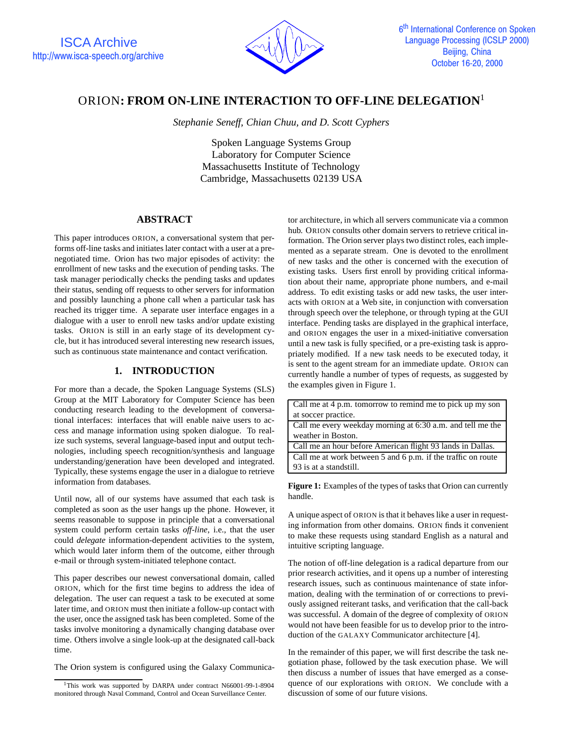

# ORION**: FROM ON-LINE INTERACTION TO OFF-LINE DELEGATION**<sup>1</sup>

*Stephanie Seneff, Chian Chuu, and D. Scott Cyphers*

Spoken Language Systems Group Laboratory for Computer Science Massachusetts Institute of Technology Cambridge, Massachusetts 02139 USA

## **ABSTRACT**

This paper introduces ORION, a conversational system that performs off-line tasks and initiates later contact with a user at a prenegotiated time. Orion has two major episodes of activity: the enrollment of new tasks and the execution of pending tasks. The task manager periodically checks the pending tasks and updates their status, sending off requests to other servers for information and possibly launching a phone call when a particular task has reached its trigger time. A separate user interface engages in a dialogue with a user to enroll new tasks and/or update existing tasks. ORION is still in an early stage of its development cycle, but it has introduced several interesting new research issues, such as continuous state maintenance and contact verification.

## **1. INTRODUCTION**

For more than a decade, the Spoken Language Systems (SLS) Group at the MIT Laboratory for Computer Science has been conducting research leading to the development of conversational interfaces: interfaces that will enable naive users to access and manage information using spoken dialogue. To realize such systems, several language-based input and output technologies, including speech recognition/synthesis and language understanding/generation have been developed and integrated. Typically, these systems engage the user in a dialogue to retrieve information from databases.

Until now, all of our systems have assumed that each task is completed as soon as the user hangs up the phone. However, it seems reasonable to suppose in principle that a conversational system could perform certain tasks *off-line*, i.e., that the user could *delegate* information-dependent activities to the system, which would later inform them of the outcome, either through e-mail or through system-initiated telephone contact.

This paper describes our newest conversational domain, called ORION, which for the first time begins to address the idea of delegation. The user can request a task to be executed at some later time, and ORION must then initiate a follow-up contact with the user, once the assigned task has been completed. Some of the tasks involve monitoring a dynamically changing database over time. Others involve a single look-up at the designated call-back time.

The Orion system is configured using the Galaxy Communica-

tor architecture, in which all servers communicate via a common hub. ORION consults other domain servers to retrieve critical information. The Orion server plays two distinct roles, each implemented as a separate stream. One is devoted to the enrollment of new tasks and the other is concerned with the execution of existing tasks. Users first enroll by providing critical information about their name, appropriate phone numbers, and e-mail address. To edit existing tasks or add new tasks, the user interacts with ORION at a Web site, in conjunction with conversation through speech over the telephone, or through typing at the GUI interface. Pending tasks are displayed in the graphical interface, and ORION engages the user in a mixed-initiative conversation until a new task is fully specified, or a pre-existing task is appropriately modified. If a new task needs to be executed today, it is sent to the agent stream for an immediate update. ORION can currently handle a number of types of requests, as suggested by the examples given in Figure 1.

| Call me at 4 p.m. tomorrow to remind me to pick up my son    |
|--------------------------------------------------------------|
| at soccer practice.                                          |
| Call me every weekday morning at 6:30 a.m. and tell me the   |
| weather in Boston.                                           |
| Call me an hour before American flight 93 lands in Dallas.   |
| Call me at work between 5 and 6 p.m. if the traffic on route |
| 93 is at a standstill.                                       |

**Figure 1:** Examples of the types of tasks that Orion can currently handle.

A unique aspect of ORION is that it behaves like a user in requesting information from other domains. ORION finds it convenient to make these requests using standard English as a natural and intuitive scripting language.

The notion of off-line delegation is a radical departure from our prior research activities, and it opens up a number of interesting research issues, such as continuous maintenance of state information, dealing with the termination of or corrections to previously assigned reiterant tasks, and verification that the call-back was successful. A domain of the degree of complexity of ORION would not have been feasible for us to develop prior to the introduction of the GALAXY Communicator architecture [4].

In the remainder of this paper, we will first describe the task negotiation phase, followed by the task execution phase. We will then discuss a number of issues that have emerged as a consequence of our explorations with ORION. We conclude with a discussion of some of our future visions.

<sup>&</sup>lt;sup>1</sup>This work was supported by DARPA under contract N66001-99-1-8904 monitored through Naval Command, Control and Ocean Surveillance Center.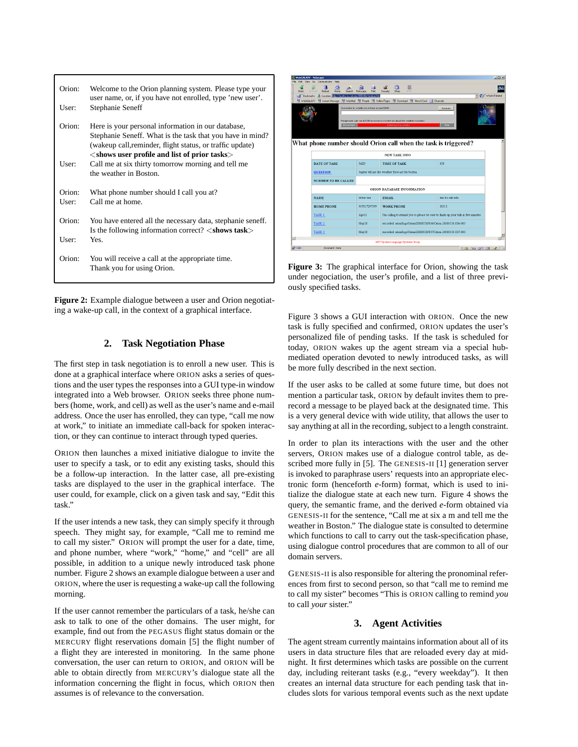| Orion: | Welcome to the Orion planning system. Please type your               |              |
|--------|----------------------------------------------------------------------|--------------|
|        | user name, or, if you have not enrolled, type 'new user'.            |              |
| User:  | Stephanie Seneff                                                     |              |
|        |                                                                      |              |
| Orion: | Here is your personal information in our database,                   |              |
|        | Stephanie Seneff. What is the task that you have in mind?            |              |
|        | (wakeup call, reminder, flight status, or traffic update)            | W            |
|        | $<$ shows user profile and list of prior tasks $>$                   |              |
| User:  | Call me at six thirty tomorrow morning and tell me                   |              |
|        | the weather in Boston.                                               |              |
|        |                                                                      |              |
| Orion: | What phone number should I call you at?                              |              |
| User:  | Call me at home.                                                     |              |
|        |                                                                      |              |
| Orion: | You have entered all the necessary data, stephanie seneff.           |              |
|        |                                                                      |              |
|        | Is the following information correct? $\langle$ shows task $\rangle$ | $\mathbb{E}$ |
| User:  | Yes.                                                                 |              |
|        |                                                                      | 留国           |
| Orion: | You will receive a call at the appropriate time.                     |              |
|        | Thank you for using Orion.                                           | Fig          |
|        |                                                                      | 11nC         |

**Figure 2:** Example dialogue between a user and Orion negotiating a wake-up call, in the context of a graphical interface.

#### **2. Task Negotiation Phase**

The first step in task negotiation is to enroll a new user. This is done at a graphical interface where ORION asks a series of questions and the user types the responses into a GUI type-in window integrated into a Web browser. ORION seeks three phone numbers (home, work, and cell) as well as the user's name and e-mail address. Once the user has enrolled, they can type, "call me now at work," to initiate an immediate call-back for spoken interaction, or they can continue to interact through typed queries.

ORION then launches a mixed initiative dialogue to invite the user to specify a task, or to edit any existing tasks, should this be a follow-up interaction. In the latter case, all pre-existing tasks are displayed to the user in the graphical interface. The user could, for example, click on a given task and say, "Edit this task."

If the user intends a new task, they can simply specify it through speech. They might say, for example, "Call me to remind me to call my sister." ORION will prompt the user for a date, time, and phone number, where "work," "home," and "cell" are all possible, in addition to a unique newly introduced task phone number. Figure 2 shows an example dialogue between a user and ORION, where the user is requesting a wake-up call the following morning.

If the user cannot remember the particulars of a task, he/she can ask to talk to one of the other domains. The user might, for example, find out from the PEGASUS flight status domain or the MERCURY flight reservations domain [5] the flight number of a flight they are interested in monitoring. In the same phone conversation, the user can return to ORION, and ORION will be able to obtain directly from MERCURY's dialogue state all the information concerning the flight in focus, which ORION then assumes is of relevance to the conversation.

| Reload<br><b>Back</b><br>Home<br>Forward                                                | ल्ज<br>Search<br>Netscape<br>Pay                              | 瀧<br>Shop<br>Stop<br>Secunity                                                                                  |                  |  |  |  |
|-----------------------------------------------------------------------------------------|---------------------------------------------------------------|----------------------------------------------------------------------------------------------------------------|------------------|--|--|--|
| Bookmarks                                                                               | <b>A</b> Location: 70p Monetto los mit edu 5080/Ne/medium Nm  |                                                                                                                | Vihaf's Related  |  |  |  |
| WebGALAXY [4] Instant Message                                                           | WebMail El People El Yellow Pages                             | 岡 Download 岡 New & Cool (今 Channels                                                                            |                  |  |  |  |
|                                                                                         | Contracted to: orgatto los mit edu on port 9609<br>Disconnect | Paraphrase: call me at 6.30 am tomorrow to tell me about the weather in boston<br><b>Listening Unavailable</b> | Controls<br>Stop |  |  |  |
| What phone number should Orion call when the task is triggered?<br><b>NEW TASK INFO</b> |                                                               |                                                                                                                |                  |  |  |  |
| <b>DATE OF TASK</b>                                                                     | <b>Jul20</b>                                                  | <b>TIME OF TASK</b>                                                                                            | 630              |  |  |  |
| <b>QUESTION</b>                                                                         |                                                               | Jupiter tell me the weather forecast for boston                                                                |                  |  |  |  |
|                                                                                         | <b>NUMBER TO BE CALLED</b>                                    |                                                                                                                |                  |  |  |  |
|                                                                                         |                                                               | ORION DATABASE INFORMATION                                                                                     |                  |  |  |  |
|                                                                                         |                                                               |                                                                                                                |                  |  |  |  |
| <b>NAME</b>                                                                             | victor zue                                                    | <b>EMAIL</b>                                                                                                   | zue les mit edu. |  |  |  |
| <b>HOME PHONE</b>                                                                       | 917817297599                                                  | <b>WORK PHONE</b>                                                                                              | 38513            |  |  |  |
| TASK <sub>1</sub>                                                                       | Apr12                                                         | I'm calling to remind you to please be sure to finish up your talk in five minutes.                            |                  |  |  |  |
| TASK <sub>2</sub>                                                                       | May30                                                         | recorded_orion/logs/Orion/20000530/034/Orion-20000530-034-005                                                  |                  |  |  |  |
| TASK 3                                                                                  | May30                                                         | recorded_orion/logs/Orion/20000530/037/Orion-20000530-037-003                                                  |                  |  |  |  |

**Figure 3:** The graphical interface for Orion, showing the task under negociation, the user's profile, and a list of three previously specified tasks.

Figure 3 shows a GUI interaction with ORION. Once the new task is fully specified and confirmed, ORION updates the user's personalized file of pending tasks. If the task is scheduled for today, ORION wakes up the agent stream via a special hubmediated operation devoted to newly introduced tasks, as will be more fully described in the next section.

If the user asks to be called at some future time, but does not mention a particular task, ORION by default invites them to prerecord a message to be played back at the designated time. This is a very general device with wide utility, that allows the user to say anything at all in the recording, subject to a length constraint.

In order to plan its interactions with the user and the other servers, ORION makes use of a dialogue control table, as described more fully in [5]. The GENESIS-II [1] generation server is invoked to paraphrase users' requests into an appropriate electronic form (henceforth *e*-form) format, which is used to initialize the dialogue state at each new turn. Figure 4 shows the query, the semantic frame, and the derived *e*-form obtained via GENESIS-II for the sentence, "Call me at six a m and tell me the weather in Boston." The dialogue state is consulted to determine which functions to call to carry out the task-specification phase, using dialogue control procedures that are common to all of our domain servers.

GENESIS-II is also responsible for altering the pronominal references from first to second person, so that "call me to remind me to call my sister" becomes "This is ORION calling to remind *you* to call *your* sister."

## **3. Agent Activities**

The agent stream currently maintains information about all of its users in data structure files that are reloaded every day at midnight. It first determines which tasks are possible on the current day, including reiterant tasks (e.g., "every weekday"). It then creates an internal data structure for each pending task that includes slots for various temporal events such as the next update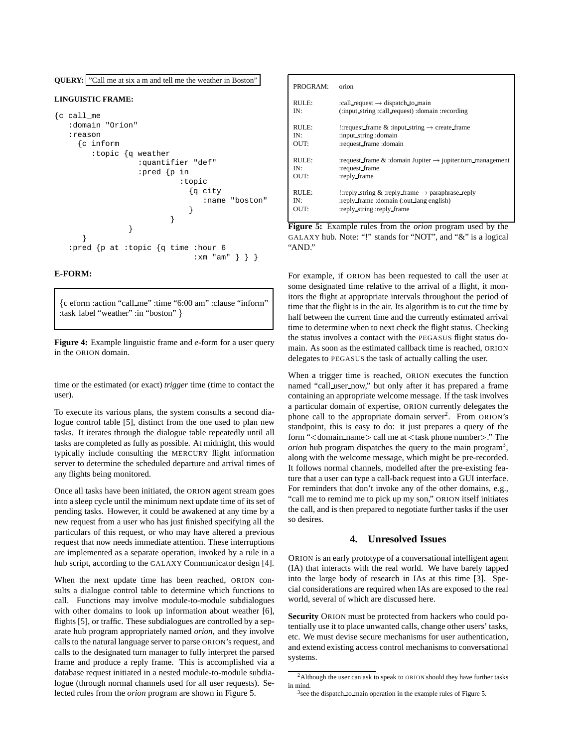

#### **E-FORM:**

fc eform :action "call me" :time "6:00 am" :clause "inform" :task\_label "weather" :in "boston" }

**Figure 4:** Example linguistic frame and *e*-form for a user query in the ORION domain.

time or the estimated (or exact) *trigger* time (time to contact the user).

To execute its various plans, the system consults a second dialogue control table [5], distinct from the one used to plan new tasks. It iterates through the dialogue table repeatedly until all tasks are completed as fully as possible. At midnight, this would typically include consulting the MERCURY flight information server to determine the scheduled departure and arrival times of any flights being monitored.

Once all tasks have been initiated, the ORION agent stream goes into a sleep cycle until the minimum next update time of its set of pending tasks. However, it could be awakened at any time by a new request from a user who has just finished specifying all the particulars of this request, or who may have altered a previous request that now needs immediate attention. These interruptions are implemented as a separate operation, invoked by a rule in a hub script, according to the GALAXY Communicator design [4].

When the next update time has been reached, ORION consults a dialogue control table to determine which functions to call. Functions may involve module-to-module subdialogues with other domains to look up information about weather [6], flights [5], or traffic. These subdialogues are controlled by a separate hub program appropriately named *orion*, and they involve calls to the natural language server to parse ORION's request, and calls to the designated turn manager to fully interpret the parsed frame and produce a reply frame. This is accomplished via a database request initiated in a nested module-to-module subdialogue (through normal channels used for all user requests). Selected rules from the *orion* program are shown in Figure 5.

| PROGRAM:  | orion                                                                       |
|-----------|-----------------------------------------------------------------------------|
| RUTE:     | :call request $\rightarrow$ dispatch to main                                |
| IN:       | (:input_string :call_request) :domain :recording                            |
| RUTE:     | : request frame $\&$ : input string $\rightarrow$ create frame              |
| IN·       | :input_string :domain                                                       |
| OUT:      | :request_frame:domain                                                       |
| RUTE:     | : request frame $\&$ : domain Jupiter $\rightarrow$ jupiter turn management |
| <b>IN</b> | :request_frame                                                              |
| OUT:      | :reply frame                                                                |
| RUTE:     | : reply string & reply frame $\rightarrow$ paraphrase reply                 |
| IN:       | :reply frame :domain (:out lang english)                                    |
| OUT:      | :reply_string :reply_frame                                                  |

**Figure 5:** Example rules from the *orion* program used by the GALAXY hub. Note: "!" stands for "NOT", and "&" is a logical "AND."

For example, if ORION has been requested to call the user at some designated time relative to the arrival of a flight, it monitors the flight at appropriate intervals throughout the period of time that the flight is in the air. Its algorithm is to cut the time by half between the current time and the currently estimated arrival time to determine when to next check the flight status. Checking the status involves a contact with the PEGASUS flight status domain. As soon as the estimated callback time is reached, ORION delegates to PEGASUS the task of actually calling the user.

When a trigger time is reached, ORION executes the function named "call user now," but only after it has prepared a frame containing an appropriate welcome message. If the task involves a particular domain of expertise, ORION currently delegates the phone call to the appropriate domain server<sup>2</sup>. From ORION's standpoint, this is easy to do: it just prepares a query of the form "<domain name<sup>&</sup>gt; call me at <sup>&</sup>lt;task phone number>." The *orion* hub program dispatches the query to the main program<sup>3</sup>, along with the welcome message, which might be pre-recorded. It follows normal channels, modelled after the pre-existing feature that a user can type a call-back request into a GUI interface. For reminders that don't invoke any of the other domains, e.g., "call me to remind me to pick up my son," ORION itself initiates the call, and is then prepared to negotiate further tasks if the user so desires.

#### **4. Unresolved Issues**

ORION is an early prototype of a conversational intelligent agent (IA) that interacts with the real world. We have barely tapped into the large body of research in IAs at this time [3]. Special considerations are required when IAs are exposed to the real world, several of which are discussed here.

**Security** ORION must be protected from hackers who could potentially use it to place unwanted calls, change other users' tasks, etc. We must devise secure mechanisms for user authentication, and extend existing access control mechanisms to conversational systems.

<sup>&</sup>lt;sup>2</sup>Although the user can ask to speak to ORION should they have further tasks in mind.

<sup>&</sup>lt;sup>3</sup>see the dispatch to main operation in the example rules of Figure 5.